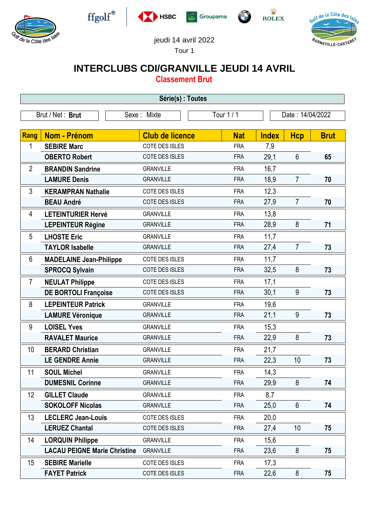







 $\begin{array}{c}\n\mathbf{\dot{W}}\\
\mathbf{ROLEX}\n\end{array}$ 



jeudi 14 avril 2022

Tour 1

## **INTERCLUBS CDI/GRANVILLE JEUDI 14 AVRIL**

**Classement Brut**

| Série(s) : Toutes |                                     |                        |            |                  |                 |             |  |  |  |
|-------------------|-------------------------------------|------------------------|------------|------------------|-----------------|-------------|--|--|--|
| Brut / Net: Brut  |                                     | Sexe: Mixte            | Tour 1 / 1 | Date: 14/04/2022 |                 |             |  |  |  |
| Rang              | <b>Nom - Prénom</b>                 | <b>Club de licence</b> | <b>Nat</b> | <b>Index</b>     | <b>Hcp</b>      | <b>Brut</b> |  |  |  |
| 1                 | <b>SEBIRE Marc</b>                  | COTE DES ISLES         | <b>FRA</b> | 7,9              |                 |             |  |  |  |
|                   | <b>OBERTO Robert</b>                | COTE DES ISLES         | <b>FRA</b> | 29,1             | $6\phantom{1}6$ | 65          |  |  |  |
| $\overline{2}$    | <b>BRANDIN Sandrine</b>             | <b>GRANVILLE</b>       | <b>FRA</b> | 16,7             |                 |             |  |  |  |
|                   | <b>LAMURE Denis</b>                 | <b>GRANVILLE</b>       | <b>FRA</b> | 18,9             | $\overline{7}$  | 70          |  |  |  |
| 3                 | <b>KERAMPRAN Nathalie</b>           | COTE DES ISLES         | <b>FRA</b> | 12,3             |                 |             |  |  |  |
|                   | <b>BEAU André</b>                   | COTE DES ISLES         | <b>FRA</b> | 27,9             | $\overline{7}$  | 70          |  |  |  |
| 4                 | <b>LETEINTURIER Hervé</b>           | <b>GRANVILLE</b>       | <b>FRA</b> | 13,8             |                 |             |  |  |  |
|                   | <b>LEPEINTEUR Régine</b>            | <b>GRANVILLE</b>       | <b>FRA</b> | 28,9             | 8               | 71          |  |  |  |
| 5                 | <b>LHOSTE Eric</b>                  | <b>GRANVILLE</b>       | <b>FRA</b> | 11,7             |                 |             |  |  |  |
|                   | <b>TAYLOR Isabelle</b>              | <b>GRANVILLE</b>       | <b>FRA</b> | 27,4             | $\overline{7}$  | 73          |  |  |  |
| 6                 | <b>MADELAINE Jean-Philippe</b>      | <b>COTE DES ISLES</b>  | <b>FRA</b> | 11,7             |                 |             |  |  |  |
|                   | <b>SPROCQ Sylvain</b>               | COTE DES ISLES         | <b>FRA</b> | 32,5             | 8               | 73          |  |  |  |
| $\overline{7}$    | <b>NEULAT Philippe</b>              | COTE DES ISLES         | <b>FRA</b> | 17,1             |                 |             |  |  |  |
|                   | <b>DE BORTOLI Françoise</b>         | COTE DES ISLES         | <b>FRA</b> | 30,1             | 9               | 73          |  |  |  |
| 8                 | <b>LEPEINTEUR Patrick</b>           | <b>GRANVILLE</b>       | <b>FRA</b> | 19,6             |                 |             |  |  |  |
|                   | <b>LAMURE Véronique</b>             | <b>GRANVILLE</b>       | <b>FRA</b> | 21,1             | 9               | 73          |  |  |  |
| 9                 | <b>LOISEL Yves</b>                  | <b>GRANVILLE</b>       | <b>FRA</b> | 15,3             |                 |             |  |  |  |
|                   | <b>RAVALET Maurice</b>              | <b>GRANVILLE</b>       | <b>FRA</b> | 22,9             | 8               | 73          |  |  |  |
| 10                | <b>BERARD Christian</b>             | <b>GRANVILLE</b>       | <b>FRA</b> | 21,7             |                 |             |  |  |  |
|                   | <b>LE GENDRE Annie</b>              | <b>GRANVILLE</b>       | <b>FRA</b> | 22,3             | 10              | 73          |  |  |  |
| 11                | <b>SOUL Michel</b>                  | <b>GRANVILLE</b>       | <b>FRA</b> | 14,3             |                 |             |  |  |  |
|                   | <b>DUMESNIL Corinne</b>             | <b>GRANVILLE</b>       | <b>FRA</b> | 29,9             | 8               | 74          |  |  |  |
| 12                | <b>GILLET Claude</b>                | <b>GRANVILLE</b>       | <b>FRA</b> | 8,7              |                 |             |  |  |  |
|                   | <b>SOKOLOFF Nicolas</b>             | <b>GRANVILLE</b>       | <b>FRA</b> | 25,0             | $6\phantom{.}$  | 74          |  |  |  |
| 13                | <b>LECLERC Jean-Louis</b>           | COTE DES ISLES         | <b>FRA</b> | 20,0             |                 |             |  |  |  |
|                   | <b>LERUEZ Chantal</b>               | COTE DES ISLES         | <b>FRA</b> | 27,4             | 10              | 75          |  |  |  |
| 14                | <b>LORQUIN Philippe</b>             | <b>GRANVILLE</b>       | <b>FRA</b> | 15,6             |                 |             |  |  |  |
|                   | <b>LACAU PEIGNE Marie Christine</b> | <b>GRANVILLE</b>       | <b>FRA</b> | 23,6             | 8               | 75          |  |  |  |
| 15                | <b>SEBIRE Marielle</b>              | COTE DES ISLES         | <b>FRA</b> | 17,3             |                 |             |  |  |  |
|                   | <b>FAYET Patrick</b>                | COTE DES ISLES         | <b>FRA</b> | 22,6             | 8               | 75          |  |  |  |